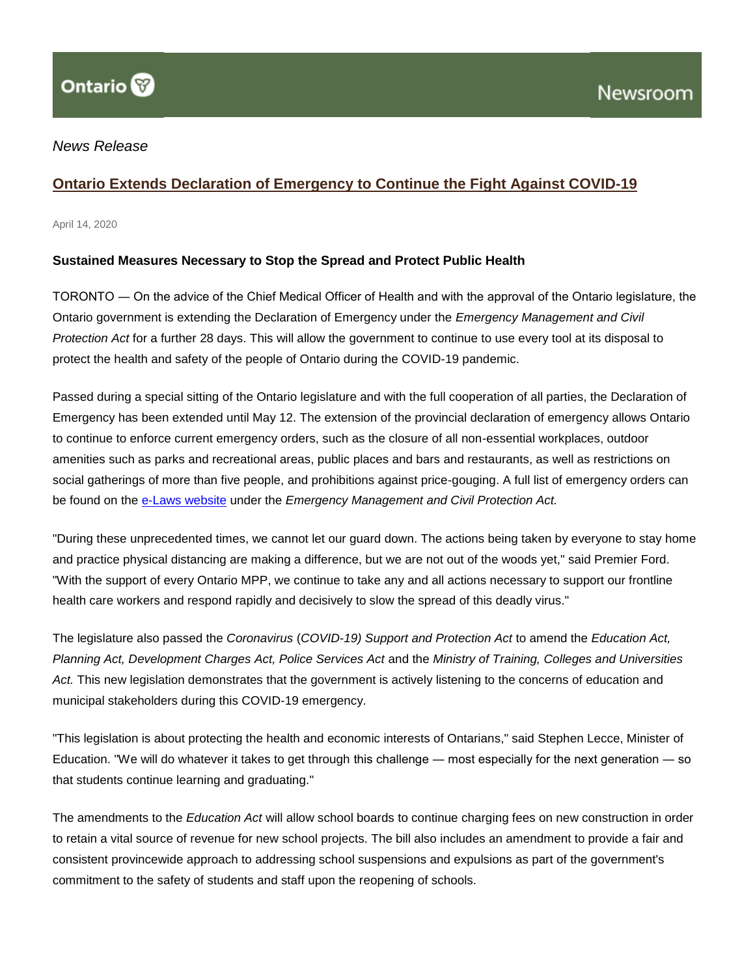## *News Release*

## **[Ontario Extends Declaration of Emergency to Continue the Fight Against COVID-19](http://news.ontario.ca/opo/en/2020/04/ontario-extends-declaration-of-emergency-to-continue-the-fight-against-covid-19.html?utm_source=ondemand&utm_medium=email&utm_campaign=p)**

April 14, 2020

### **Sustained Measures Necessary to Stop the Spread and Protect Public Health**

TORONTO ― On the advice of the Chief Medical Officer of Health and with the approval of the Ontario legislature, the Ontario government is extending the Declaration of Emergency under the *Emergency Management and Civil Protection Act* for a further 28 days. This will allow the government to continue to use every tool at its disposal to protect the health and safety of the people of Ontario during the COVID-19 pandemic.

Passed during a special sitting of the Ontario legislature and with the full cooperation of all parties, the Declaration of Emergency has been extended until May 12. The extension of the provincial declaration of emergency allows Ontario to continue to enforce current emergency orders, such as the closure of all non-essential workplaces, outdoor amenities such as parks and recreational areas, public places and bars and restaurants, as well as restrictions on social gatherings of more than five people, and prohibitions against price-gouging. A full list of emergency orders can be found on the [e-Laws website](https://www.ontario.ca/laws) under the *Emergency Management and Civil Protection Act.*

"During these unprecedented times, we cannot let our guard down. The actions being taken by everyone to stay home and practice physical distancing are making a difference, but we are not out of the woods yet," said Premier Ford. "With the support of every Ontario MPP, we continue to take any and all actions necessary to support our frontline health care workers and respond rapidly and decisively to slow the spread of this deadly virus."

The legislature also passed the *Coronavirus* (*COVID-19) Support and Protection Act* to amend the *Education Act, Planning Act, Development Charges Act, Police Services Act* and the *Ministry of Training, Colleges and Universities Act.* This new legislation demonstrates that the government is actively listening to the concerns of education and municipal stakeholders during this COVID-19 emergency.

"This legislation is about protecting the health and economic interests of Ontarians," said Stephen Lecce, Minister of Education. "We will do whatever it takes to get through this challenge ― most especially for the next generation ― so that students continue learning and graduating."

The amendments to the *Education Act* will allow school boards to continue charging fees on new construction in order to retain a vital source of revenue for new school projects. The bill also includes an amendment to provide a fair and consistent provincewide approach to addressing school suspensions and expulsions as part of the government's commitment to the safety of students and staff upon the reopening of schools.